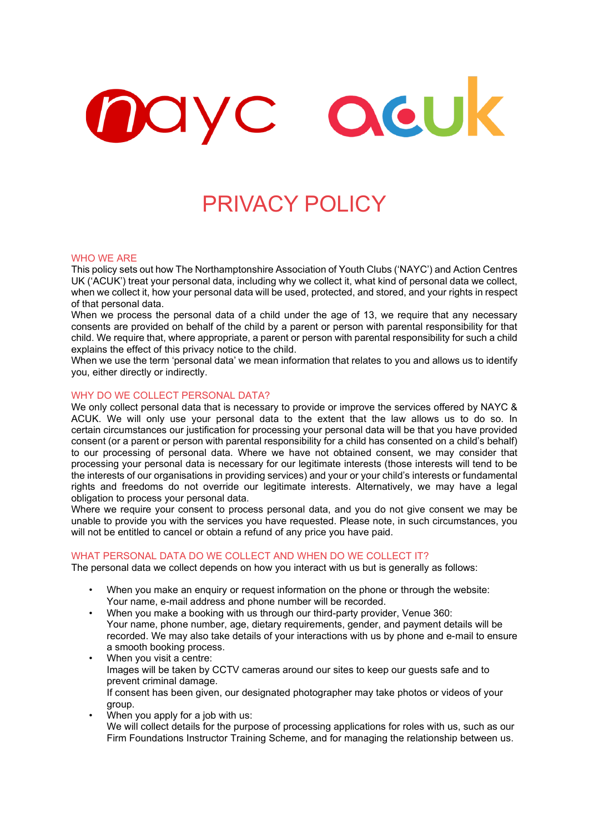# QeUk mayc

# PRIVACY POLICY

#### WHO WE ARE

This policy sets out how The Northamptonshire Association of Youth Clubs ('NAYC') and Action Centres UK ('ACUK') treat your personal data, including why we collect it, what kind of personal data we collect, when we collect it, how your personal data will be used, protected, and stored, and your rights in respect of that personal data.

When we process the personal data of a child under the age of 13, we require that any necessary consents are provided on behalf of the child by a parent or person with parental responsibility for that child. We require that, where appropriate, a parent or person with parental responsibility for such a child explains the effect of this privacy notice to the child.

When we use the term 'personal data' we mean information that relates to you and allows us to identify you, either directly or indirectly.

## WHY DO WE COLLECT PERSONAL DATA?

We only collect personal data that is necessary to provide or improve the services offered by NAYC & ACUK. We will only use your personal data to the extent that the law allows us to do so. In certain circumstances our justification for processing your personal data will be that you have provided consent (or a parent or person with parental responsibility for a child has consented on a child's behalf) to our processing of personal data. Where we have not obtained consent, we may consider that processing your personal data is necessary for our legitimate interests (those interests will tend to be the interests of our organisations in providing services) and your or your child's interests or fundamental rights and freedoms do not override our legitimate interests. Alternatively, we may have a legal obligation to process your personal data.

Where we require your consent to process personal data, and you do not give consent we may be unable to provide you with the services you have requested. Please note, in such circumstances, you will not be entitled to cancel or obtain a refund of any price you have paid.

#### WHAT PERSONAL DATA DO WE COLLECT AND WHEN DO WE COLLECT IT?

The personal data we collect depends on how you interact with us but is generally as follows:

- When you make an enquiry or request information on the phone or through the website: Your name, e-mail address and phone number will be recorded.
- When you make a booking with us through our third-party provider, Venue 360: Your name, phone number, age, dietary requirements, gender, and payment details will be recorded. We may also take details of your interactions with us by phone and e-mail to ensure a smooth booking process.
- When you visit a centre: Images will be taken by CCTV cameras around our sites to keep our guests safe and to prevent criminal damage. If consent has been given, our designated photographer may take photos or videos of your group.
- When you apply for a job with us: We will collect details for the purpose of processing applications for roles with us, such as our Firm Foundations Instructor Training Scheme, and for managing the relationship between us.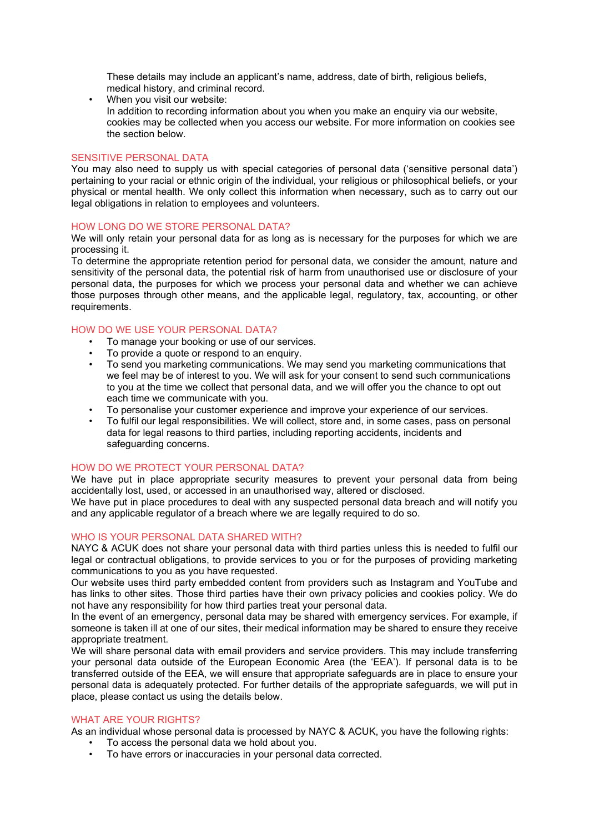These details may include an applicant's name, address, date of birth, religious beliefs, medical history, and criminal record.

When you visit our website: In addition to recording information about you when you make an enquiry via our website, cookies may be collected when you access our website. For more information on cookies see the section below.

# SENSITIVE PERSONAL DATA

You may also need to supply us with special categories of personal data ('sensitive personal data') pertaining to your racial or ethnic origin of the individual, your religious or philosophical beliefs, or your physical or mental health. We only collect this information when necessary, such as to carry out our legal obligations in relation to employees and volunteers.

#### HOW LONG DO WE STORE PERSONAL DATA?

We will only retain your personal data for as long as is necessary for the purposes for which we are processing it.

To determine the appropriate retention period for personal data, we consider the amount, nature and sensitivity of the personal data, the potential risk of harm from unauthorised use or disclosure of your personal data, the purposes for which we process your personal data and whether we can achieve those purposes through other means, and the applicable legal, regulatory, tax, accounting, or other requirements.

# HOW DO WE USE YOUR PERSONAL DATA?

- To manage your booking or use of our services.
- To provide a quote or respond to an enquiry.
- To send you marketing communications. We may send you marketing communications that we feel may be of interest to you. We will ask for your consent to send such communications to you at the time we collect that personal data, and we will offer you the chance to opt out each time we communicate with you.
- To personalise your customer experience and improve your experience of our services.
- To fulfil our legal responsibilities. We will collect, store and, in some cases, pass on personal data for legal reasons to third parties, including reporting accidents, incidents and safeguarding concerns.

## HOW DO WE PROTECT YOUR PERSONAL DATA?

We have put in place appropriate security measures to prevent your personal data from being accidentally lost, used, or accessed in an unauthorised way, altered or disclosed.

We have put in place procedures to deal with any suspected personal data breach and will notify you and any applicable regulator of a breach where we are legally required to do so.

# WHO IS YOUR PERSONAL DATA SHARED WITH?

NAYC & ACUK does not share your personal data with third parties unless this is needed to fulfil our legal or contractual obligations, to provide services to you or for the purposes of providing marketing communications to you as you have requested.

Our website uses third party embedded content from providers such as Instagram and YouTube and has links to other sites. Those third parties have their own privacy policies and cookies policy. We do not have any responsibility for how third parties treat your personal data.

In the event of an emergency, personal data may be shared with emergency services. For example, if someone is taken ill at one of our sites, their medical information may be shared to ensure they receive appropriate treatment.

We will share personal data with email providers and service providers. This may include transferring your personal data outside of the European Economic Area (the 'EEA'). If personal data is to be transferred outside of the EEA, we will ensure that appropriate safeguards are in place to ensure your personal data is adequately protected. For further details of the appropriate safeguards, we will put in place, please contact us using the details below.

## WHAT ARE YOUR RIGHTS?

As an individual whose personal data is processed by NAYC & ACUK, you have the following rights:

- To access the personal data we hold about you.
- To have errors or inaccuracies in your personal data corrected.